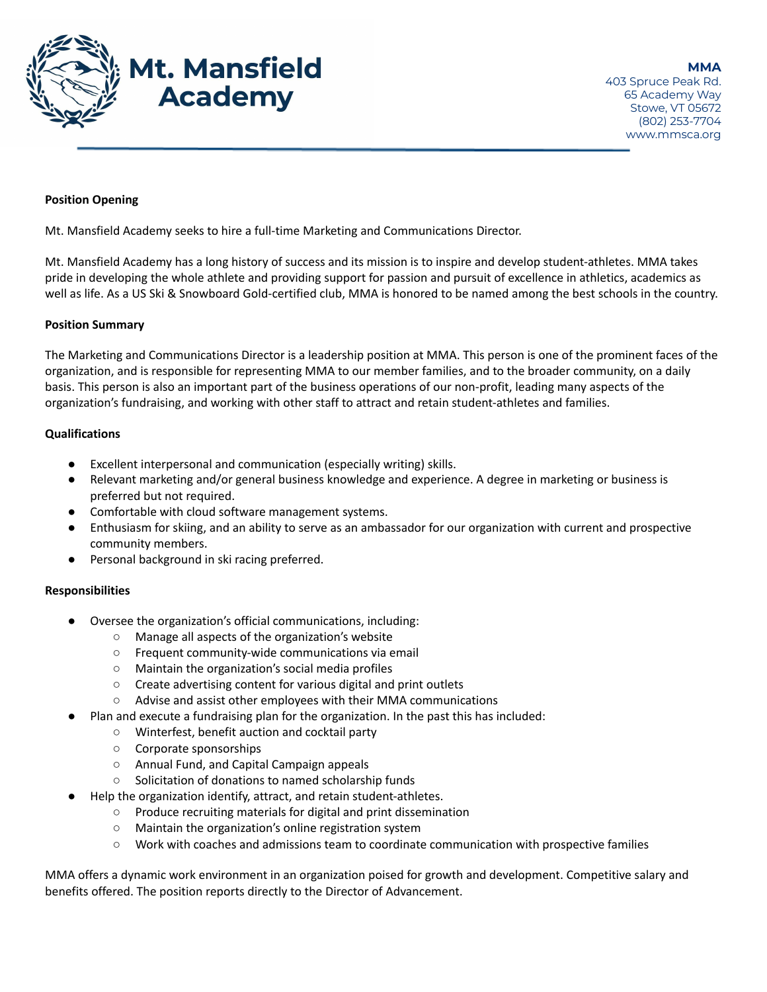

# **Position Opening**

Mt. Mansfield Academy seeks to hire a full-time Marketing and Communications Director.

Mt. Mansfield Academy has a long history of success and its mission is to inspire and develop student-athletes. MMA takes pride in developing the whole athlete and providing support for passion and pursuit of excellence in athletics, academics as well as life. As a US Ski & Snowboard Gold-certified club, MMA is honored to be named among the best schools in the country.

### **Position Summary**

The Marketing and Communications Director is a leadership position at MMA. This person is one of the prominent faces of the organization, and is responsible for representing MMA to our member families, and to the broader community, on a daily basis. This person is also an important part of the business operations of our non-profit, leading many aspects of the organization's fundraising, and working with other staff to attract and retain student-athletes and families.

### **Qualifications**

- Excellent interpersonal and communication (especially writing) skills.
- Relevant marketing and/or general business knowledge and experience. A degree in marketing or business is preferred but not required.
- Comfortable with cloud software management systems.
- Enthusiasm for skiing, and an ability to serve as an ambassador for our organization with current and prospective community members.
- Personal background in ski racing preferred.

### **Responsibilities**

- Oversee the organization's official communications, including:
	- Manage all aspects of the organization's website
	- Frequent community-wide communications via email
	- Maintain the organization's social media profiles
	- Create advertising content for various digital and print outlets
	- Advise and assist other employees with their MMA communications
	- Plan and execute a fundraising plan for the organization. In the past this has included:
		- Winterfest, benefit auction and cocktail party
		- Corporate sponsorships
		- Annual Fund, and Capital Campaign appeals
		- Solicitation of donations to named scholarship funds
- Help the organization identify, attract, and retain student-athletes.
	- Produce recruiting materials for digital and print dissemination
	- Maintain the organization's online registration system
	- Work with coaches and admissions team to coordinate communication with prospective families

MMA offers a dynamic work environment in an organization poised for growth and development. Competitive salary and benefits offered. The position reports directly to the Director of Advancement.